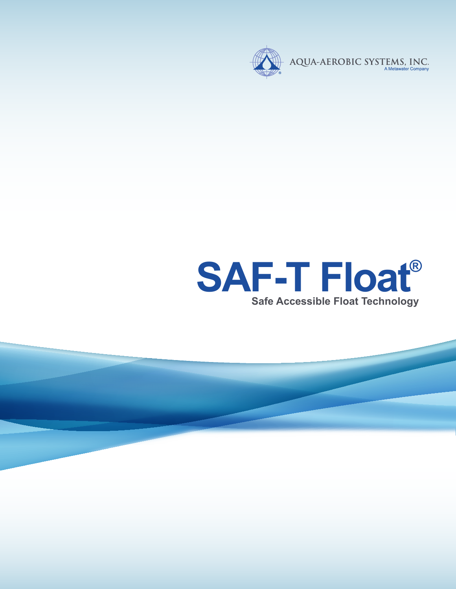